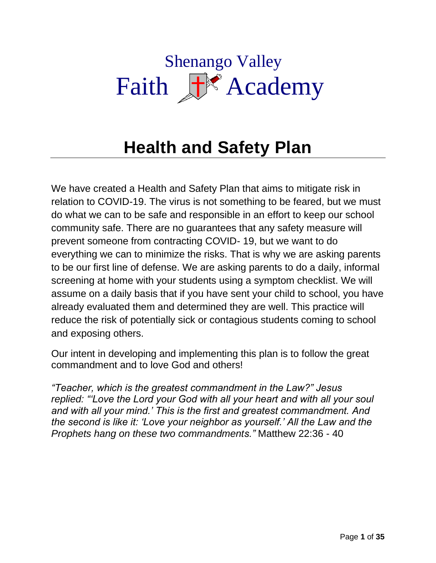# Shenango Valley Faith F<sup>or</sup> Academy

# **Health and Safety Plan**

We have created a Health and Safety Plan that aims to mitigate risk in relation to COVID-19. The virus is not something to be feared, but we must do what we can to be safe and responsible in an effort to keep our school community safe. There are no guarantees that any safety measure will prevent someone from contracting COVID- 19, but we want to do everything we can to minimize the risks. That is why we are asking parents to be our first line of defense. We are asking parents to do a daily, informal screening at home with your students using a symptom checklist. We will assume on a daily basis that if you have sent your child to school, you have already evaluated them and determined they are well. This practice will reduce the risk of potentially sick or contagious students coming to school and exposing others.

Our intent in developing and implementing this plan is to follow the great commandment and to love God and others!

*"Teacher, which is the greatest commandment in the Law?" Jesus replied: "'Love the Lord your God with all your heart and with all your soul and with all your mind.' This is the first and greatest commandment. And the second is like it: 'Love your neighbor as yourself.' All the Law and the Prophets hang on these two commandments."* Matthew 22:36 - 40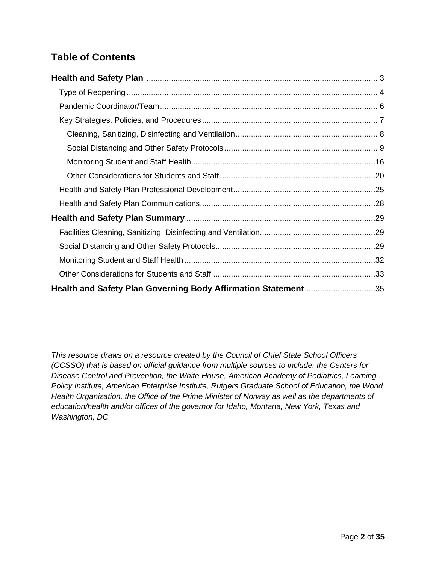# **Table of Contents**

| Health and Safety Plan Governing Body Affirmation Statement 35 |  |
|----------------------------------------------------------------|--|

*This resource draws on a resource created by the Council of Chief State School Officers (CCSSO) that is based on official guidance from multiple sources to include: the Centers for Disease Control and Prevention, the White House, American Academy of Pediatrics, Learning Policy Institute, American Enterprise Institute, Rutgers Graduate School of Education, the World Health Organization, the Office of the Prime Minister of Norway as well as the departments of education/health and/or offices of the governor for Idaho, Montana, New York, Texas and Washington, DC.*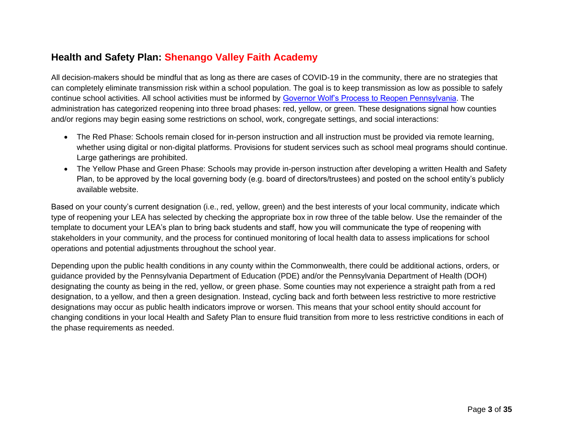## **Health and Safety Plan: Shenango Valley Faith Academy**

All decision-makers should be mindful that as long as there are cases of COVID-19 in the community, there are no strategies that can completely eliminate transmission risk within a school population. The goal is to keep transmission as low as possible to safely continue school activities. All school activities must be informed by [Governor Wolf's Process to Reopen Pennsylvania.](https://www.governor.pa.gov/process-to-reopen-pennsylvania/) The administration has categorized reopening into three broad phases: red, yellow, or green. These designations signal how counties and/or regions may begin easing some restrictions on school, work, congregate settings, and social interactions:

- The Red Phase: Schools remain closed for in-person instruction and all instruction must be provided via remote learning, whether using digital or non-digital platforms. Provisions for student services such as school meal programs should continue. Large gatherings are prohibited.
- <span id="page-2-0"></span>• The Yellow Phase and Green Phase: Schools may provide in-person instruction after developing a written Health and Safety Plan, to be approved by the local governing body (e.g. board of directors/trustees) and posted on the school entity's publicly available website.

Based on your county's current designation (i.e., red, yellow, green) and the best interests of your local community, indicate which type of reopening your LEA has selected by checking the appropriate box in row three of the table below. Use the remainder of the template to document your LEA's plan to bring back students and staff, how you will communicate the type of reopening with stakeholders in your community, and the process for continued monitoring of local health data to assess implications for school operations and potential adjustments throughout the school year.

Depending upon the public health conditions in any county within the Commonwealth, there could be additional actions, orders, or guidance provided by the Pennsylvania Department of Education (PDE) and/or the Pennsylvania Department of Health (DOH) designating the county as being in the red, yellow, or green phase. Some counties may not experience a straight path from a red designation, to a yellow, and then a green designation. Instead, cycling back and forth between less restrictive to more restrictive designations may occur as public health indicators improve or worsen. This means that your school entity should account for changing conditions in your local Health and Safety Plan to ensure fluid transition from more to less restrictive conditions in each of the phase requirements as needed.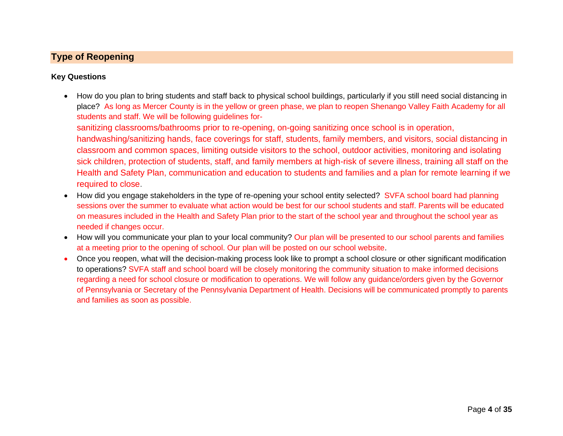### **Type of Reopening**

#### **Key Questions**

• How do you plan to bring students and staff back to physical school buildings, particularly if you still need social distancing in place? As long as Mercer County is in the yellow or green phase, we plan to reopen Shenango Valley Faith Academy for all students and staff. We will be following guidelines for-

sanitizing classrooms/bathrooms prior to re-opening, on-going sanitizing once school is in operation,

handwashing/sanitizing hands, face coverings for staff, students, family members, and visitors, social distancing in classroom and common spaces, limiting outside visitors to the school, outdoor activities, monitoring and isolating sick children, protection of students, staff, and family members at high-risk of severe illness, training all staff on the Health and Safety Plan, communication and education to students and families and a plan for remote learning if we required to close.

- <span id="page-3-0"></span>• How did you engage stakeholders in the type of re-opening your school entity selected? SVFA school board had planning sessions over the summer to evaluate what action would be best for our school students and staff. Parents will be educated on measures included in the Health and Safety Plan prior to the start of the school year and throughout the school year as needed if changes occur.
- How will you communicate your plan to your local community? Our plan will be presented to our school parents and families at a meeting prior to the opening of school. Our plan will be posted on our school website.
- Once you reopen, what will the decision-making process look like to prompt a school closure or other significant modification to operations? SVFA staff and school board will be closely monitoring the community situation to make informed decisions regarding a need for school closure or modification to operations. We will follow any guidance/orders given by the Governor of Pennsylvania or Secretary of the Pennsylvania Department of Health. Decisions will be communicated promptly to parents and families as soon as possible.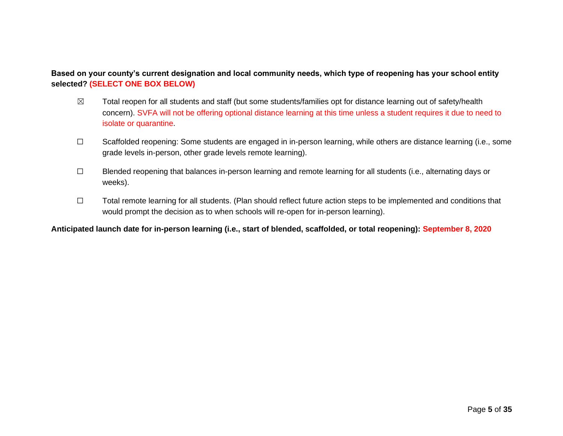**Based on your county's current designation and local community needs, which type of reopening has your school entity selected? (SELECT ONE BOX BELOW)**

- $\boxtimes$  Total reopen for all students and staff (but some students/families opt for distance learning out of safety/health concern). SVFA will not be offering optional distance learning at this time unless a student requires it due to need to isolate or quarantine.
- ☐ Scaffolded reopening: Some students are engaged in in-person learning, while others are distance learning (i.e., some grade levels in-person, other grade levels remote learning).
- ☐ Blended reopening that balances in-person learning and remote learning for all students (i.e., alternating days or weeks).
- ☐ Total remote learning for all students. (Plan should reflect future action steps to be implemented and conditions that would prompt the decision as to when schools will re-open for in-person learning).

**Anticipated launch date for in-person learning (i.e., start of blended, scaffolded, or total reopening): September 8, 2020**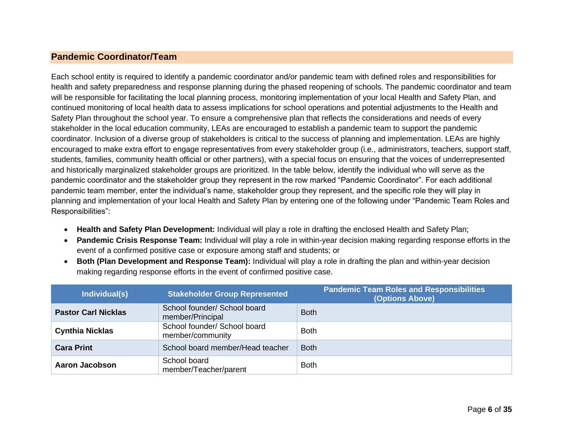#### **Pandemic Coordinator/Team**

Each school entity is required to identify a pandemic coordinator and/or pandemic team with defined roles and responsibilities for health and safety preparedness and response planning during the phased reopening of schools. The pandemic coordinator and team will be responsible for facilitating the local planning process, monitoring implementation of your local Health and Safety Plan, and continued monitoring of local health data to assess implications for school operations and potential adjustments to the Health and Safety Plan throughout the school year. To ensure a comprehensive plan that reflects the considerations and needs of every stakeholder in the local education community, LEAs are encouraged to establish a pandemic team to support the pandemic coordinator. Inclusion of a diverse group of stakeholders is critical to the success of planning and implementation. LEAs are highly encouraged to make extra effort to engage representatives from every stakeholder group (i.e., administrators, teachers, support staff, students, families, community health official or other partners), with a special focus on ensuring that the voices of underrepresented and historically marginalized stakeholder groups are prioritized. In the table below, identify the individual who will serve as the pandemic coordinator and the stakeholder group they represent in the row marked "Pandemic Coordinator". For each additional pandemic team member, enter the individual's name, stakeholder group they represent, and the specific role they will play in planning and implementation of your local Health and Safety Plan by entering one of the following under "Pandemic Team Roles and Responsibilities":

- <span id="page-5-0"></span>• **Health and Safety Plan Development:** Individual will play a role in drafting the enclosed Health and Safety Plan;
- **Pandemic Crisis Response Team:** Individual will play a role in within-year decision making regarding response efforts in the event of a confirmed positive case or exposure among staff and students; or
- **Both (Plan Development and Response Team):** Individual will play a role in drafting the plan and within-year decision making regarding response efforts in the event of confirmed positive case.

| Individual(s)              | <b>Stakeholder Group Represented</b>             | <b>Pandemic Team Roles and Responsibilities</b><br>(Options Above) |
|----------------------------|--------------------------------------------------|--------------------------------------------------------------------|
| <b>Pastor Carl Nicklas</b> | School founder/ School board<br>member/Principal | <b>Both</b>                                                        |
| <b>Cynthia Nicklas</b>     | School founder/ School board<br>member/community | <b>Both</b>                                                        |
| <b>Cara Print</b>          | School board member/Head teacher                 | <b>Both</b>                                                        |
| Aaron Jacobson             | School board<br>member/Teacher/parent            | <b>Both</b>                                                        |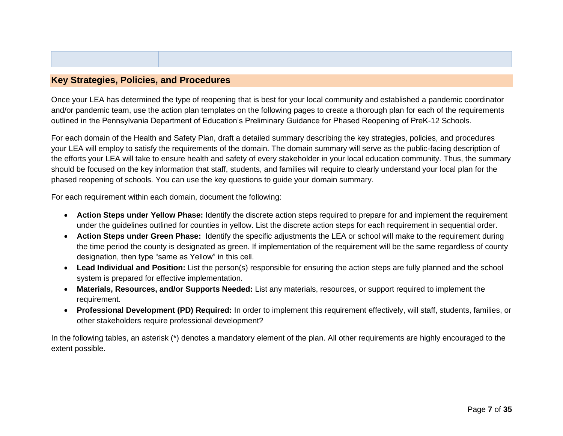#### **Key Strategies, Policies, and Procedures**

Once your LEA has determined the type of reopening that is best for your local community and established a pandemic coordinator and/or pandemic team, use the action plan templates on the following pages to create a thorough plan for each of the requirements outlined in the Pennsylvania Department of Education's Preliminary Guidance for Phased Reopening of PreK-12 Schools.

For each domain of the Health and Safety Plan, draft a detailed summary describing the key strategies, policies, and procedures your LEA will employ to satisfy the requirements of the domain. The domain summary will serve as the public-facing description of the efforts your LEA will take to ensure health and safety of every stakeholder in your local education community. Thus, the summary should be focused on the key information that staff, students, and families will require to clearly understand your local plan for the phased reopening of schools. You can use the key questions to guide your domain summary.

<span id="page-6-0"></span>For each requirement within each domain, document the following:

- **Action Steps under Yellow Phase:** Identify the discrete action steps required to prepare for and implement the requirement under the guidelines outlined for counties in yellow. List the discrete action steps for each requirement in sequential order.
- **Action Steps under Green Phase:** Identify the specific adjustments the LEA or school will make to the requirement during the time period the county is designated as green. If implementation of the requirement will be the same regardless of county designation, then type "same as Yellow" in this cell.
- **Lead Individual and Position:** List the person(s) responsible for ensuring the action steps are fully planned and the school system is prepared for effective implementation.
- **Materials, Resources, and/or Supports Needed:** List any materials, resources, or support required to implement the requirement.
- **Professional Development (PD) Required:** In order to implement this requirement effectively, will staff, students, families, or other stakeholders require professional development?

In the following tables, an asterisk (\*) denotes a mandatory element of the plan. All other requirements are highly encouraged to the extent possible.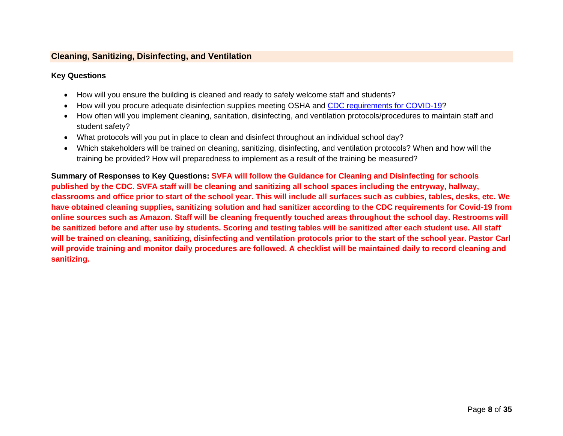#### **Cleaning, Sanitizing, Disinfecting, and Ventilation**

#### **Key Questions**

- How will you ensure the building is cleaned and ready to safely welcome staff and students?
- How will you procure adequate disinfection supplies meeting OSHA and [CDC requirements for COVID-19?](https://www.cdc.gov/coronavirus/2019-ncov/community/disinfecting-building-facility.html)
- How often will you implement cleaning, sanitation, disinfecting, and ventilation protocols/procedures to maintain staff and student safety?
- What protocols will you put in place to clean and disinfect throughout an individual school day?
- Which stakeholders will be trained on cleaning, sanitizing, disinfecting, and ventilation protocols? When and how will the training be provided? How will preparedness to implement as a result of the training be measured?

<span id="page-7-0"></span>**Summary of Responses to Key Questions: SVFA will follow the Guidance for Cleaning and Disinfecting for schools published by the CDC. SVFA staff will be cleaning and sanitizing all school spaces including the entryway, hallway, classrooms and office prior to start of the school year. This will include all surfaces such as cubbies, tables, desks, etc. We have obtained cleaning supplies, sanitizing solution and had sanitizer according to the CDC requirements for Covid-19 from online sources such as Amazon. Staff will be cleaning frequently touched areas throughout the school day. Restrooms will be sanitized before and after use by students. Scoring and testing tables will be sanitized after each student use. All staff will be trained on cleaning, sanitizing, disinfecting and ventilation protocols prior to the start of the school year. Pastor Carl will provide training and monitor daily procedures are followed. A checklist will be maintained daily to record cleaning and sanitizing.**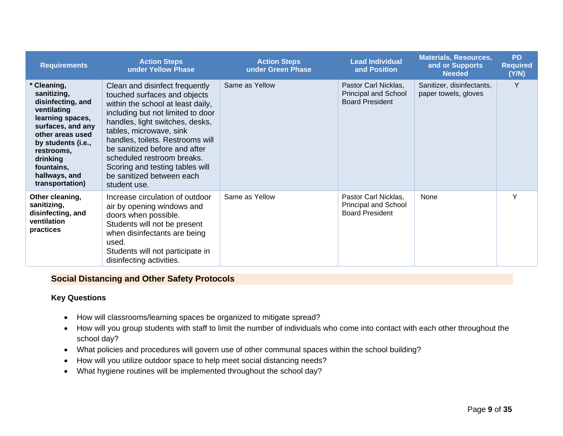| <b>Requirements</b>                                                                                                                                                                                                           | <b>Action Steps</b><br>under Yellow Phase                                                                                                                                                                                                                                                                                                                                                 | <b>Action Steps</b><br>under Green Phase | <b>Lead Individual</b><br>and Position                                        | <b>Materials, Resources,</b><br>and or Supports<br><b>Needed</b> | <b>PD</b><br><b>Required</b><br>(Y/N) |
|-------------------------------------------------------------------------------------------------------------------------------------------------------------------------------------------------------------------------------|-------------------------------------------------------------------------------------------------------------------------------------------------------------------------------------------------------------------------------------------------------------------------------------------------------------------------------------------------------------------------------------------|------------------------------------------|-------------------------------------------------------------------------------|------------------------------------------------------------------|---------------------------------------|
| * Cleaning,<br>sanitizing,<br>disinfecting, and<br>ventilating<br>learning spaces,<br>surfaces, and any<br>other areas used<br>by students (i.e.,<br>restrooms.<br>drinking<br>fountains,<br>hallways, and<br>transportation) | Clean and disinfect frequently<br>touched surfaces and objects<br>within the school at least daily,<br>including but not limited to door<br>handles, light switches, desks,<br>tables, microwave, sink<br>handles, toilets. Restrooms will<br>be sanitized before and after<br>scheduled restroom breaks.<br>Scoring and testing tables will<br>be sanitized between each<br>student use. | Same as Yellow                           | Pastor Carl Nicklas,<br><b>Principal and School</b><br><b>Board President</b> | Sanitizer, disinfectants,<br>paper towels, gloves                | Y                                     |
| Other cleaning,<br>sanitizing,<br>disinfecting, and<br>ventilation<br>practices                                                                                                                                               | Increase circulation of outdoor<br>air by opening windows and<br>doors when possible.<br>Students will not be present<br>when disinfectants are being<br>used.<br>Students will not participate in<br>disinfecting activities.                                                                                                                                                            | Same as Yellow                           | Pastor Carl Nicklas,<br><b>Principal and School</b><br><b>Board President</b> | None                                                             | Υ                                     |

#### **Social Distancing and Other Safety Protocols**

#### **Key Questions**

- How will classrooms/learning spaces be organized to mitigate spread?
- How will you group students with staff to limit the number of individuals who come into contact with each other throughout the school day?
- What policies and procedures will govern use of other communal spaces within the school building?
- How will you utilize outdoor space to help meet social distancing needs?
- <span id="page-8-0"></span>• What hygiene routines will be implemented throughout the school day?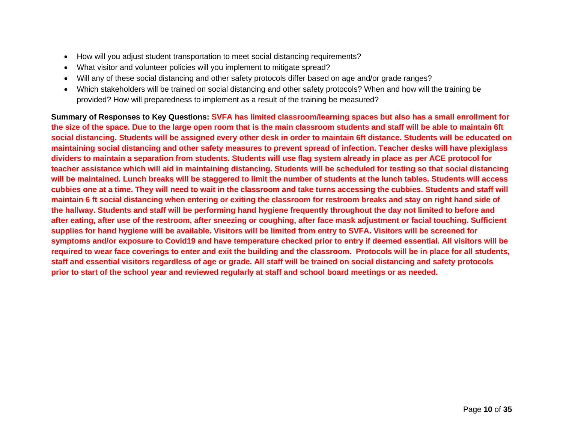- How will you adjust student transportation to meet social distancing requirements?
- What visitor and volunteer policies will you implement to mitigate spread?
- Will any of these social distancing and other safety protocols differ based on age and/or grade ranges?
- Which stakeholders will be trained on social distancing and other safety protocols? When and how will the training be provided? How will preparedness to implement as a result of the training be measured?

**Summary of Responses to Key Questions: SVFA has limited classroom/learning spaces but also has a small enrollment for the size of the space. Due to the large open room that is the main classroom students and staff will be able to maintain 6ft social distancing. Students will be assigned every other desk in order to maintain 6ft distance. Students will be educated on maintaining social distancing and other safety measures to prevent spread of infection. Teacher desks will have plexiglass dividers to maintain a separation from students. Students will use flag system already in place as per ACE protocol for teacher assistance which will aid in maintaining distancing. Students will be scheduled for testing so that social distancing will be maintained. Lunch breaks will be staggered to limit the number of students at the lunch tables. Students will access cubbies one at a time. They will need to wait in the classroom and take turns accessing the cubbies. Students and staff will maintain 6 ft social distancing when entering or exiting the classroom for restroom breaks and stay on right hand side of the hallway. Students and staff will be performing hand hygiene frequently throughout the day not limited to before and after eating, after use of the restroom, after sneezing or coughing, after face mask adjustment or facial touching. Sufficient supplies for hand hygiene will be available. Visitors will be limited from entry to SVFA. Visitors will be screened for symptoms and/or exposure to Covid19 and have temperature checked prior to entry if deemed essential. All visitors will be required to wear face coverings to enter and exit the building and the classroom. Protocols will be in place for all students, staff and essential visitors regardless of age or grade. All staff will be trained on social distancing and safety protocols prior to start of the school year and reviewed regularly at staff and school board meetings or as needed.**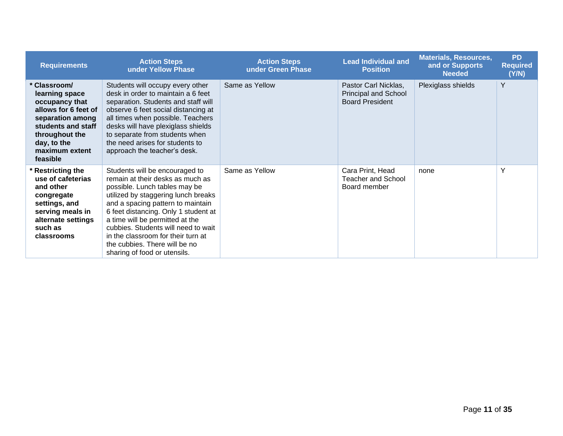| <b>Requirements</b>                                                                                                                                                             | <b>Action Steps</b><br>under Yellow Phase                                                                                                                                                                                                                                                                                                                                                                | <b>Action Steps</b><br>under Green Phase | <b>Lead Individual and</b><br><b>Position</b>                          | <b>Materials, Resources,</b><br>and or Supports<br><b>Needed</b> | <b>PD</b><br><b>Required</b><br>(Y/N) |
|---------------------------------------------------------------------------------------------------------------------------------------------------------------------------------|----------------------------------------------------------------------------------------------------------------------------------------------------------------------------------------------------------------------------------------------------------------------------------------------------------------------------------------------------------------------------------------------------------|------------------------------------------|------------------------------------------------------------------------|------------------------------------------------------------------|---------------------------------------|
| Classroom/<br>learning space<br>occupancy that<br>allows for 6 feet of<br>separation among<br>students and staff<br>throughout the<br>day, to the<br>maximum extent<br>feasible | Students will occupy every other<br>desk in order to maintain a 6 feet<br>separation. Students and staff will<br>observe 6 feet social distancing at<br>all times when possible. Teachers<br>desks will have plexiglass shields<br>to separate from students when<br>the need arises for students to<br>approach the teacher's desk.                                                                     | Same as Yellow                           | Pastor Carl Nicklas,<br>Principal and School<br><b>Board President</b> | Plexiglass shields                                               | Y                                     |
| <b>Restricting the</b><br>use of cafeterias<br>and other<br>congregate<br>settings, and<br>serving meals in<br>alternate settings<br>such as<br>classrooms                      | Students will be encouraged to<br>remain at their desks as much as<br>possible. Lunch tables may be<br>utilized by staggering lunch breaks<br>and a spacing pattern to maintain<br>6 feet distancing. Only 1 student at<br>a time will be permitted at the<br>cubbies. Students will need to wait<br>in the classroom for their turn at<br>the cubbies. There will be no<br>sharing of food or utensils. | Same as Yellow                           | Cara Print, Head<br>Teacher and School<br>Board member                 | none                                                             | Y                                     |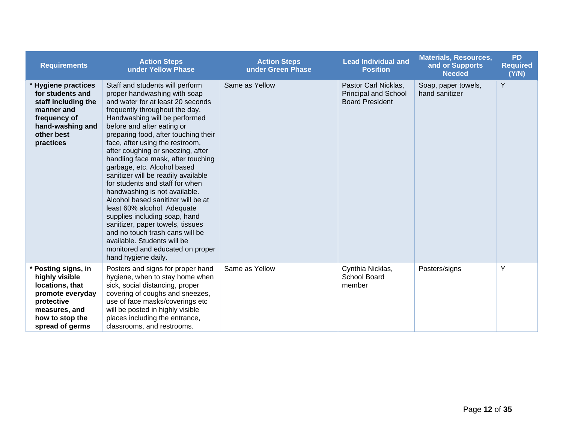| <b>Requirements</b>                                                                                                                               | <b>Action Steps</b><br>under Yellow Phase                                                                                                                                                                                                                                                                                                                                                                                                                                                                                                                                                                                                                                                                                                                                    | <b>Action Steps</b><br>under Green Phase | <b>Lead Individual and</b><br><b>Position</b>                                 | <b>Materials, Resources,</b><br>and or Supports<br><b>Needed</b> | <b>PD</b><br><b>Required</b><br>(Y/N) |
|---------------------------------------------------------------------------------------------------------------------------------------------------|------------------------------------------------------------------------------------------------------------------------------------------------------------------------------------------------------------------------------------------------------------------------------------------------------------------------------------------------------------------------------------------------------------------------------------------------------------------------------------------------------------------------------------------------------------------------------------------------------------------------------------------------------------------------------------------------------------------------------------------------------------------------------|------------------------------------------|-------------------------------------------------------------------------------|------------------------------------------------------------------|---------------------------------------|
| * Hygiene practices<br>for students and<br>staff including the<br>manner and<br>frequency of<br>hand-washing and<br>other best<br>practices       | Staff and students will perform<br>proper handwashing with soap<br>and water for at least 20 seconds<br>frequently throughout the day.<br>Handwashing will be performed<br>before and after eating or<br>preparing food, after touching their<br>face, after using the restroom,<br>after coughing or sneezing, after<br>handling face mask, after touching<br>garbage, etc. Alcohol based<br>sanitizer will be readily available<br>for students and staff for when<br>handwashing is not available.<br>Alcohol based sanitizer will be at<br>least 60% alcohol. Adequate<br>supplies including soap, hand<br>sanitizer, paper towels, tissues<br>and no touch trash cans will be<br>available. Students will be<br>monitored and educated on proper<br>hand hygiene daily. | Same as Yellow                           | Pastor Carl Nicklas,<br><b>Principal and School</b><br><b>Board President</b> | Soap, paper towels,<br>hand sanitizer                            | Y                                     |
| * Posting signs, in<br>highly visible<br>locations, that<br>promote everyday<br>protective<br>measures, and<br>how to stop the<br>spread of germs | Posters and signs for proper hand<br>hygiene, when to stay home when<br>sick, social distancing, proper<br>covering of coughs and sneezes,<br>use of face masks/coverings etc<br>will be posted in highly visible<br>places including the entrance,<br>classrooms, and restrooms.                                                                                                                                                                                                                                                                                                                                                                                                                                                                                            | Same as Yellow                           | Cynthia Nicklas,<br><b>School Board</b><br>member                             | Posters/signs                                                    | Y                                     |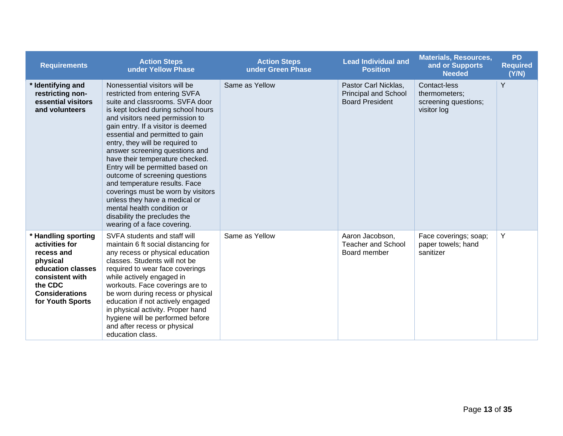| <b>Requirements</b>                                                                                                                                             | <b>Action Steps</b><br>under Yellow Phase                                                                                                                                                                                                                                                                                                                                                                                                                                                                                                                                                                                              | <b>Action Steps</b><br>under Green Phase | <b>Lead Individual and</b><br><b>Position</b>                                 | <b>Materials, Resources,</b><br>and or Supports<br><b>Needed</b>     | <b>PD</b><br><b>Required</b><br>(Y/N) |
|-----------------------------------------------------------------------------------------------------------------------------------------------------------------|----------------------------------------------------------------------------------------------------------------------------------------------------------------------------------------------------------------------------------------------------------------------------------------------------------------------------------------------------------------------------------------------------------------------------------------------------------------------------------------------------------------------------------------------------------------------------------------------------------------------------------------|------------------------------------------|-------------------------------------------------------------------------------|----------------------------------------------------------------------|---------------------------------------|
| * Identifying and<br>restricting non-<br>essential visitors<br>and volunteers                                                                                   | Nonessential visitors will be<br>restricted from entering SVFA<br>suite and classrooms. SVFA door<br>is kept locked during school hours<br>and visitors need permission to<br>gain entry. If a visitor is deemed<br>essential and permitted to gain<br>entry, they will be required to<br>answer screening questions and<br>have their temperature checked.<br>Entry will be permitted based on<br>outcome of screening questions<br>and temperature results. Face<br>coverings must be worn by visitors<br>unless they have a medical or<br>mental health condition or<br>disability the precludes the<br>wearing of a face covering. | Same as Yellow                           | Pastor Carl Nicklas,<br><b>Principal and School</b><br><b>Board President</b> | Contact-less<br>thermometers;<br>screening questions;<br>visitor log | Y                                     |
| * Handling sporting<br>activities for<br>recess and<br>physical<br>education classes<br>consistent with<br>the CDC<br><b>Considerations</b><br>for Youth Sports | SVFA students and staff will<br>maintain 6 ft social distancing for<br>any recess or physical education<br>classes. Students will not be<br>required to wear face coverings<br>while actively engaged in<br>workouts. Face coverings are to<br>be worn during recess or physical<br>education if not actively engaged<br>in physical activity. Proper hand<br>hygiene will be performed before<br>and after recess or physical<br>education class.                                                                                                                                                                                     | Same as Yellow                           | Aaron Jacobson,<br><b>Teacher and School</b><br>Board member                  | Face coverings; soap;<br>paper towels; hand<br>sanitizer             | Y                                     |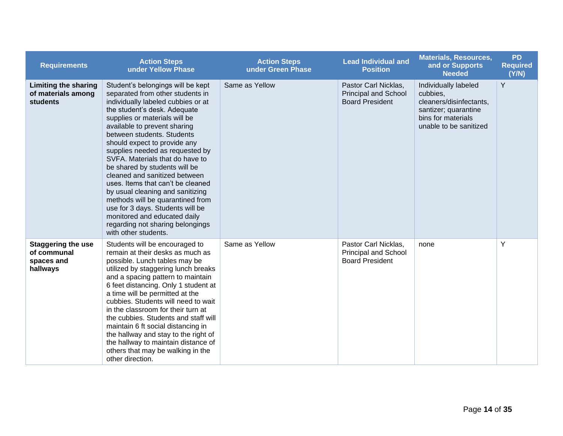| <b>Requirements</b>                                                  | <b>Action Steps</b><br>under Yellow Phase                                                                                                                                                                                                                                                                                                                                                                                                                                                                                                                                                                                                                       | <b>Action Steps</b><br>under Green Phase | <b>Lead Individual and</b><br><b>Position</b>                                 | <b>Materials, Resources,</b><br>and or Supports<br><b>Needed</b>                                                                    | <b>PD</b><br><b>Required</b><br>(Y/N) |
|----------------------------------------------------------------------|-----------------------------------------------------------------------------------------------------------------------------------------------------------------------------------------------------------------------------------------------------------------------------------------------------------------------------------------------------------------------------------------------------------------------------------------------------------------------------------------------------------------------------------------------------------------------------------------------------------------------------------------------------------------|------------------------------------------|-------------------------------------------------------------------------------|-------------------------------------------------------------------------------------------------------------------------------------|---------------------------------------|
| <b>Limiting the sharing</b><br>of materials among<br><b>students</b> | Student's belongings will be kept<br>separated from other students in<br>individually labeled cubbies or at<br>the student's desk. Adequate<br>supplies or materials will be<br>available to prevent sharing<br>between students. Students<br>should expect to provide any<br>supplies needed as requested by<br>SVFA. Materials that do have to<br>be shared by students will be<br>cleaned and sanitized between<br>uses. Items that can't be cleaned<br>by usual cleaning and sanitizing<br>methods will be quarantined from<br>use for 3 days. Students will be<br>monitored and educated daily<br>regarding not sharing belongings<br>with other students. | Same as Yellow                           | Pastor Carl Nicklas,<br><b>Principal and School</b><br><b>Board President</b> | Individually labeled<br>cubbies,<br>cleaners/disinfectants,<br>santizer; quarantine<br>bins for materials<br>unable to be sanitized | Y                                     |
| <b>Staggering the use</b><br>of communal<br>spaces and<br>hallways   | Students will be encouraged to<br>remain at their desks as much as<br>possible. Lunch tables may be<br>utilized by staggering lunch breaks<br>and a spacing pattern to maintain<br>6 feet distancing. Only 1 student at<br>a time will be permitted at the<br>cubbies. Students will need to wait<br>in the classroom for their turn at<br>the cubbies. Students and staff will<br>maintain 6 ft social distancing in<br>the hallway and stay to the right of<br>the hallway to maintain distance of<br>others that may be walking in the<br>other direction.                                                                                                   | Same as Yellow                           | Pastor Carl Nicklas,<br><b>Principal and School</b><br><b>Board President</b> | none                                                                                                                                | Y                                     |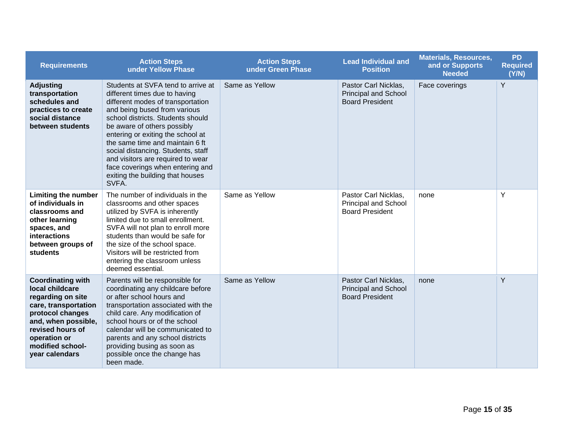| <b>Requirements</b>                                                                                                                                                                                           | <b>Action Steps</b><br>under Yellow Phase                                                                                                                                                                                                                                                                                                                                                                                                        | <b>Action Steps</b><br>under Green Phase | <b>Lead Individual and</b><br><b>Position</b>                                 | <b>Materials, Resources,</b><br>and or Supports<br><b>Needed</b> | <b>PD</b><br><b>Required</b><br>(Y/N) |
|---------------------------------------------------------------------------------------------------------------------------------------------------------------------------------------------------------------|--------------------------------------------------------------------------------------------------------------------------------------------------------------------------------------------------------------------------------------------------------------------------------------------------------------------------------------------------------------------------------------------------------------------------------------------------|------------------------------------------|-------------------------------------------------------------------------------|------------------------------------------------------------------|---------------------------------------|
| <b>Adjusting</b><br>transportation<br>schedules and<br>practices to create<br>social distance<br>between students                                                                                             | Students at SVFA tend to arrive at<br>different times due to having<br>different modes of transportation<br>and being bused from various<br>school districts. Students should<br>be aware of others possibly<br>entering or exiting the school at<br>the same time and maintain 6 ft<br>social distancing. Students, staff<br>and visitors are required to wear<br>face coverings when entering and<br>exiting the building that houses<br>SVFA. | Same as Yellow                           | Pastor Carl Nicklas,<br>Principal and School<br><b>Board President</b>        | Face coverings                                                   | Y                                     |
| <b>Limiting the number</b><br>of individuals in<br>classrooms and<br>other learning<br>spaces, and<br>interactions<br>between groups of<br>students                                                           | The number of individuals in the<br>classrooms and other spaces<br>utilized by SVFA is inherently<br>limited due to small enrollment.<br>SVFA will not plan to enroll more<br>students than would be safe for<br>the size of the school space.<br>Visitors will be restricted from<br>entering the classroom unless<br>deemed essential.                                                                                                         | Same as Yellow                           | Pastor Carl Nicklas,<br>Principal and School<br><b>Board President</b>        | none                                                             | Y                                     |
| <b>Coordinating with</b><br>local childcare<br>regarding on site<br>care, transportation<br>protocol changes<br>and, when possible,<br>revised hours of<br>operation or<br>modified school-<br>year calendars | Parents will be responsible for<br>coordinating any childcare before<br>or after school hours and<br>transportation associated with the<br>child care. Any modification of<br>school hours or of the school<br>calendar will be communicated to<br>parents and any school districts<br>providing busing as soon as<br>possible once the change has<br>been made.                                                                                 | Same as Yellow                           | Pastor Carl Nicklas,<br><b>Principal and School</b><br><b>Board President</b> | none                                                             | Y                                     |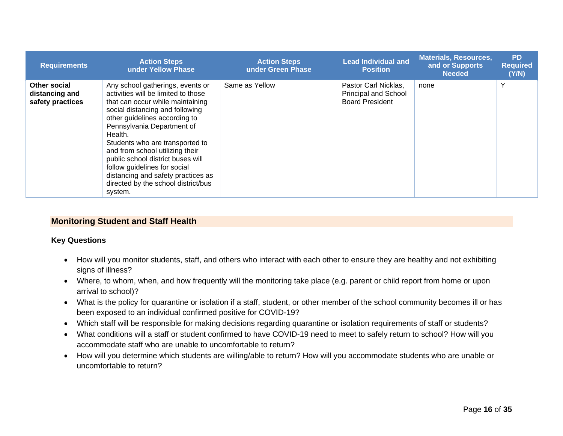| <b>Requirements</b>                                | <b>Action Steps</b><br>under Yellow Phase                                                                                                                                                                                                                                                                                                                                                                                                                   | <b>Action Steps</b><br>under Green Phase | <b>Lead Individual and</b><br><b>Position</b>                                 | <b>Materials, Resources,</b><br>and or Supports<br><b>Needed</b> | <b>PD</b><br><b>Required</b><br>(Y/N) |
|----------------------------------------------------|-------------------------------------------------------------------------------------------------------------------------------------------------------------------------------------------------------------------------------------------------------------------------------------------------------------------------------------------------------------------------------------------------------------------------------------------------------------|------------------------------------------|-------------------------------------------------------------------------------|------------------------------------------------------------------|---------------------------------------|
| Other social<br>distancing and<br>safety practices | Any school gatherings, events or<br>activities will be limited to those<br>that can occur while maintaining<br>social distancing and following<br>other guidelines according to<br>Pennsylvania Department of<br>Health.<br>Students who are transported to<br>and from school utilizing their<br>public school district buses will<br>follow guidelines for social<br>distancing and safety practices as<br>directed by the school district/bus<br>system. | Same as Yellow                           | Pastor Carl Nicklas,<br><b>Principal and School</b><br><b>Board President</b> | none                                                             | Υ                                     |

#### **Monitoring Student and Staff Health**

#### **Key Questions**

- How will you monitor students, staff, and others who interact with each other to ensure they are healthy and not exhibiting signs of illness?
- Where, to whom, when, and how frequently will the monitoring take place (e.g. parent or child report from home or upon arrival to school)?
- What is the policy for quarantine or isolation if a staff, student, or other member of the school community becomes ill or has been exposed to an individual confirmed positive for COVID-19?
- Which staff will be responsible for making decisions regarding quarantine or isolation requirements of staff or students?
- <span id="page-15-0"></span>• What conditions will a staff or student confirmed to have COVID-19 need to meet to safely return to school? How will you accommodate staff who are unable to uncomfortable to return?
- How will you determine which students are willing/able to return? How will you accommodate students who are unable or uncomfortable to return?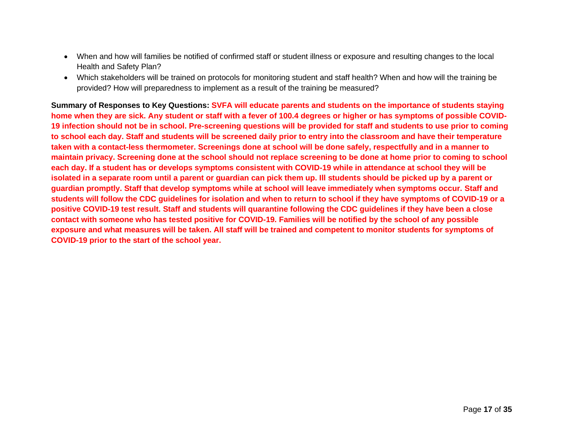- When and how will families be notified of confirmed staff or student illness or exposure and resulting changes to the local Health and Safety Plan?
- Which stakeholders will be trained on protocols for monitoring student and staff health? When and how will the training be provided? How will preparedness to implement as a result of the training be measured?

**Summary of Responses to Key Questions: SVFA will educate parents and students on the importance of students staying home when they are sick. Any student or staff with a fever of 100.4 degrees or higher or has symptoms of possible COVID-19 infection should not be in school. Pre-screening questions will be provided for staff and students to use prior to coming to school each day. Staff and students will be screened daily prior to entry into the classroom and have their temperature taken with a contact-less thermometer. Screenings done at school will be done safely, respectfully and in a manner to maintain privacy. Screening done at the school should not replace screening to be done at home prior to coming to school each day. If a student has or develops symptoms consistent with COVID-19 while in attendance at school they will be isolated in a separate room until a parent or guardian can pick them up. Ill students should be picked up by a parent or guardian promptly. Staff that develop symptoms while at school will leave immediately when symptoms occur. Staff and students will follow the CDC guidelines for isolation and when to return to school if they have symptoms of COVID-19 or a positive COVID-19 test result. Staff and students will quarantine following the CDC guidelines if they have been a close contact with someone who has tested positive for COVID-19. Families will be notified by the school of any possible exposure and what measures will be taken. All staff will be trained and competent to monitor students for symptoms of COVID-19 prior to the start of the school year.**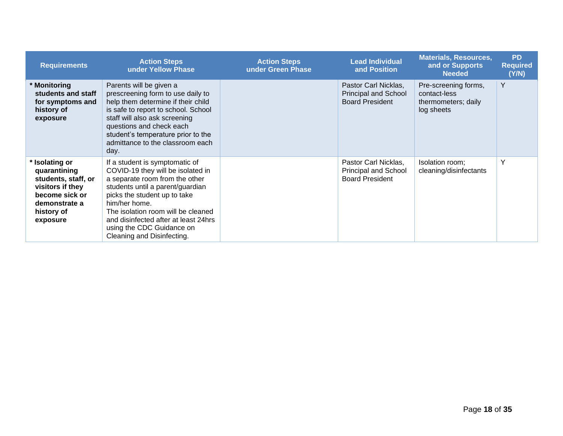| <b>Requirements</b>                                                                                                                         | <b>Action Steps</b><br>under Yellow Phase                                                                                                                                                                                                                                                                                           | <b>Action Steps</b><br>under Green Phase | <b>Lead Individual</b><br>and Position                                        | <b>Materials, Resources,</b><br>and or Supports<br><b>Needed</b>          | <b>PD</b><br><b>Required</b><br>(Y/N) |
|---------------------------------------------------------------------------------------------------------------------------------------------|-------------------------------------------------------------------------------------------------------------------------------------------------------------------------------------------------------------------------------------------------------------------------------------------------------------------------------------|------------------------------------------|-------------------------------------------------------------------------------|---------------------------------------------------------------------------|---------------------------------------|
| Monitoring<br>students and staff<br>for symptoms and<br>history of<br>exposure                                                              | Parents will be given a<br>prescreening form to use daily to<br>help them determine if their child<br>is safe to report to school. School<br>staff will also ask screening<br>questions and check each<br>student's temperature prior to the<br>admittance to the classroom each<br>day.                                            |                                          | Pastor Carl Nicklas,<br><b>Principal and School</b><br><b>Board President</b> | Pre-screening forms,<br>contact-less<br>thermometers; daily<br>log sheets | Y                                     |
| <b>Isolating or</b><br>quarantining<br>students, staff, or<br>visitors if they<br>become sick or<br>demonstrate a<br>history of<br>exposure | If a student is symptomatic of<br>COVID-19 they will be isolated in<br>a separate room from the other<br>students until a parent/guardian<br>picks the student up to take<br>him/her home.<br>The isolation room will be cleaned<br>and disinfected after at least 24hrs<br>using the CDC Guidance on<br>Cleaning and Disinfecting. |                                          | Pastor Carl Nicklas.<br>Principal and School<br><b>Board President</b>        | Isolation room;<br>cleaning/disinfectants                                 | Y                                     |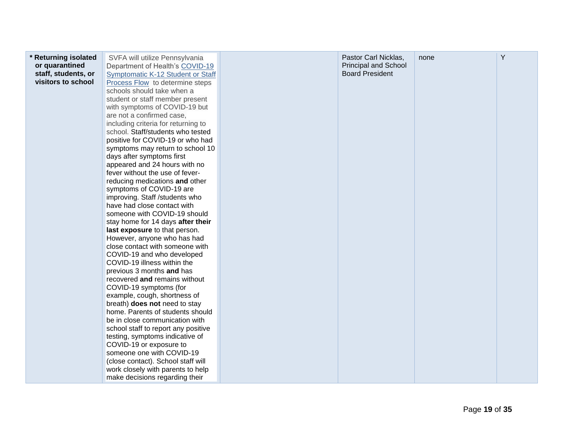| home. Parents of students should<br>be in close communication with<br>school staff to report any positive<br>testing, symptoms indicative of<br>COVID-19 or exposure to<br>someone one with COVID-19<br>(close contact). School staff will<br>work closely with parents to help<br>make decisions regarding their | staff, students, or<br>visitors to school | Symptomatic K-12 Student or Staff<br>Process Flow to determine steps<br>schools should take when a<br>student or staff member present<br>with symptoms of COVID-19 but<br>are not a confirmed case,<br>including criteria for returning to<br>school. Staff/students who tested<br>positive for COVID-19 or who had<br>symptoms may return to school 10<br>days after symptoms first<br>appeared and 24 hours with no<br>fever without the use of fever-<br>reducing medications and other<br>symptoms of COVID-19 are<br>improving. Staff /students who<br>have had close contact with<br>someone with COVID-19 should<br>stay home for 14 days after their<br>last exposure to that person.<br>However, anyone who has had<br>close contact with someone with<br>COVID-19 and who developed<br>COVID-19 illness within the<br>previous 3 months and has<br>recovered and remains without<br>COVID-19 symptoms (for<br>example, cough, shortness of<br>breath) does not need to stay |  | <b>Board President</b> |  |  |
|-------------------------------------------------------------------------------------------------------------------------------------------------------------------------------------------------------------------------------------------------------------------------------------------------------------------|-------------------------------------------|---------------------------------------------------------------------------------------------------------------------------------------------------------------------------------------------------------------------------------------------------------------------------------------------------------------------------------------------------------------------------------------------------------------------------------------------------------------------------------------------------------------------------------------------------------------------------------------------------------------------------------------------------------------------------------------------------------------------------------------------------------------------------------------------------------------------------------------------------------------------------------------------------------------------------------------------------------------------------------------|--|------------------------|--|--|
|-------------------------------------------------------------------------------------------------------------------------------------------------------------------------------------------------------------------------------------------------------------------------------------------------------------------|-------------------------------------------|---------------------------------------------------------------------------------------------------------------------------------------------------------------------------------------------------------------------------------------------------------------------------------------------------------------------------------------------------------------------------------------------------------------------------------------------------------------------------------------------------------------------------------------------------------------------------------------------------------------------------------------------------------------------------------------------------------------------------------------------------------------------------------------------------------------------------------------------------------------------------------------------------------------------------------------------------------------------------------------|--|------------------------|--|--|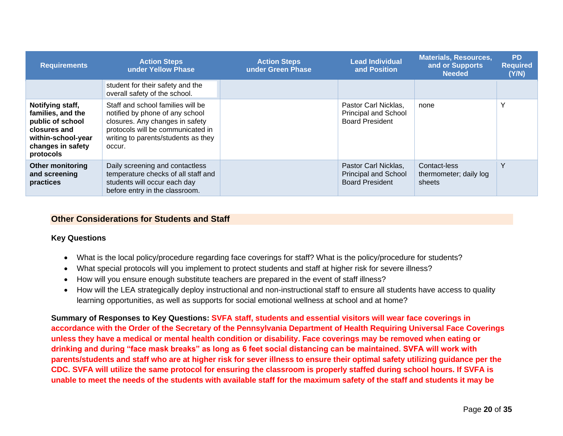| <b>Requirements</b>                                                                                                               | <b>Action Steps</b><br>under Yellow Phase                                                                                                                                                     | <b>Action Steps</b><br>under Green Phase | <b>Lead Individual</b><br>and Position                                        | <b>Materials, Resources,</b><br>and or Supports<br><b>Needed</b> | <b>PD</b><br><b>Required</b><br>(Y/N) |
|-----------------------------------------------------------------------------------------------------------------------------------|-----------------------------------------------------------------------------------------------------------------------------------------------------------------------------------------------|------------------------------------------|-------------------------------------------------------------------------------|------------------------------------------------------------------|---------------------------------------|
|                                                                                                                                   | student for their safety and the<br>overall safety of the school.                                                                                                                             |                                          |                                                                               |                                                                  |                                       |
| Notifying staff,<br>families, and the<br>public of school<br>closures and<br>within-school-year<br>changes in safety<br>protocols | Staff and school families will be<br>notified by phone of any school<br>closures. Any changes in safety<br>protocols will be communicated in<br>writing to parents/students as they<br>occur. |                                          | Pastor Carl Nicklas,<br><b>Principal and School</b><br><b>Board President</b> | none                                                             | $\check{ }$                           |
| <b>Other monitoring</b><br>and screening<br>practices                                                                             | Daily screening and contactless<br>temperature checks of all staff and<br>students will occur each day<br>before entry in the classroom.                                                      |                                          | Pastor Carl Nicklas.<br>Principal and School<br><b>Board President</b>        | Contact-less<br>thermometer; daily log<br>sheets                 | $\checkmark$                          |

#### **Other Considerations for Students and Staff**

#### **Key Questions**

- What is the local policy/procedure regarding face coverings for staff? What is the policy/procedure for students?
- What special protocols will you implement to protect students and staff at higher risk for severe illness?
- How will you ensure enough substitute teachers are prepared in the event of staff illness?
- How will the LEA strategically deploy instructional and non-instructional staff to ensure all students have access to quality learning opportunities, as well as supports for social emotional wellness at school and at home?

<span id="page-19-0"></span>**Summary of Responses to Key Questions: SVFA staff, students and essential visitors will wear face coverings in accordance with the Order of the Secretary of the Pennsylvania Department of Health Requiring Universal Face Coverings unless they have a medical or mental health condition or disability. Face coverings may be removed when eating or drinking and during "face mask breaks" as long as 6 feet social distancing can be maintained. SVFA will work with parents/students and staff who are at higher risk for sever illness to ensure their optimal safety utilizing guidance per the CDC. SVFA will utilize the same protocol for ensuring the classroom is properly staffed during school hours. If SVFA is unable to meet the needs of the students with available staff for the maximum safety of the staff and students it may be**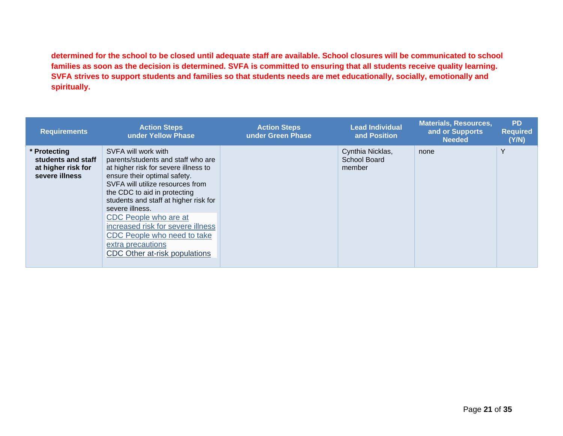**determined for the school to be closed until adequate staff are available. School closures will be communicated to school families as soon as the decision is determined. SVFA is committed to ensuring that all students receive quality learning. SVFA strives to support students and families so that students needs are met educationally, socially, emotionally and spiritually.**

| <b>Requirements</b>                                                        | <b>Action Steps</b><br>under Yellow Phase                                                                                                                                                                                                                                                                                                                                                                            | <b>Action Steps</b><br>under Green Phase | <b>Lead Individual</b><br>and Position     | <b>Materials, Resources,</b><br>and or Supports<br><b>Needed</b> | <b>PD</b><br><b>Required</b><br>(Y/N) |
|----------------------------------------------------------------------------|----------------------------------------------------------------------------------------------------------------------------------------------------------------------------------------------------------------------------------------------------------------------------------------------------------------------------------------------------------------------------------------------------------------------|------------------------------------------|--------------------------------------------|------------------------------------------------------------------|---------------------------------------|
| * Protecting<br>students and staff<br>at higher risk for<br>severe illness | SVFA will work with<br>parents/students and staff who are<br>at higher risk for severe illness to<br>ensure their optimal safety.<br>SVFA will utilize resources from<br>the CDC to aid in protecting<br>students and staff at higher risk for<br>severe illness.<br>CDC People who are at<br>increased risk for severe illness<br>CDC People who need to take<br>extra precautions<br>CDC Other at-risk populations |                                          | Cynthia Nicklas,<br>School Board<br>member | none                                                             | Y                                     |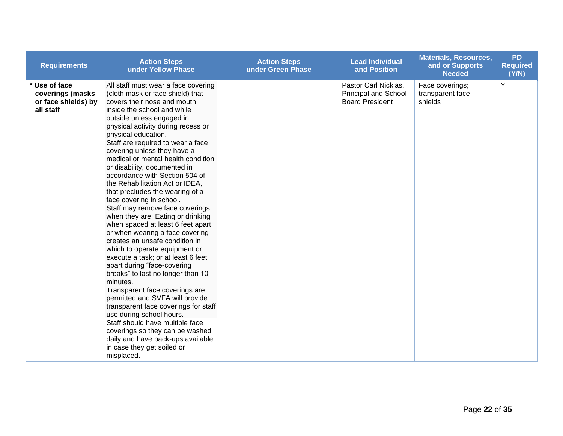| <b>Requirements</b>                                                   | <b>Action Steps</b><br>under Yellow Phase                                                                                                                                                                                                                                                                                                                                                                                                                                                                                                                                                                                                                                                                                                                                                                                                                                                                                                                                                                                                                                                                                                               | <b>Action Steps</b><br>under Green Phase | <b>Lead Individual</b><br>and Position                                        | <b>Materials, Resources,</b><br>and or Supports<br><b>Needed</b> | <b>PD</b><br><b>Required</b><br>(Y/N) |
|-----------------------------------------------------------------------|---------------------------------------------------------------------------------------------------------------------------------------------------------------------------------------------------------------------------------------------------------------------------------------------------------------------------------------------------------------------------------------------------------------------------------------------------------------------------------------------------------------------------------------------------------------------------------------------------------------------------------------------------------------------------------------------------------------------------------------------------------------------------------------------------------------------------------------------------------------------------------------------------------------------------------------------------------------------------------------------------------------------------------------------------------------------------------------------------------------------------------------------------------|------------------------------------------|-------------------------------------------------------------------------------|------------------------------------------------------------------|---------------------------------------|
| * Use of face<br>coverings (masks<br>or face shields) by<br>all staff | All staff must wear a face covering<br>(cloth mask or face shield) that<br>covers their nose and mouth<br>inside the school and while<br>outside unless engaged in<br>physical activity during recess or<br>physical education.<br>Staff are required to wear a face<br>covering unless they have a<br>medical or mental health condition<br>or disability, documented in<br>accordance with Section 504 of<br>the Rehabilitation Act or IDEA,<br>that precludes the wearing of a<br>face covering in school.<br>Staff may remove face coverings<br>when they are: Eating or drinking<br>when spaced at least 6 feet apart;<br>or when wearing a face covering<br>creates an unsafe condition in<br>which to operate equipment or<br>execute a task; or at least 6 feet<br>apart during "face-covering<br>breaks" to last no longer than 10<br>minutes.<br>Transparent face coverings are<br>permitted and SVFA will provide<br>transparent face coverings for staff<br>use during school hours.<br>Staff should have multiple face<br>coverings so they can be washed<br>daily and have back-ups available<br>in case they get soiled or<br>misplaced. |                                          | Pastor Carl Nicklas,<br><b>Principal and School</b><br><b>Board President</b> | Face coverings;<br>transparent face<br>shields                   | Y                                     |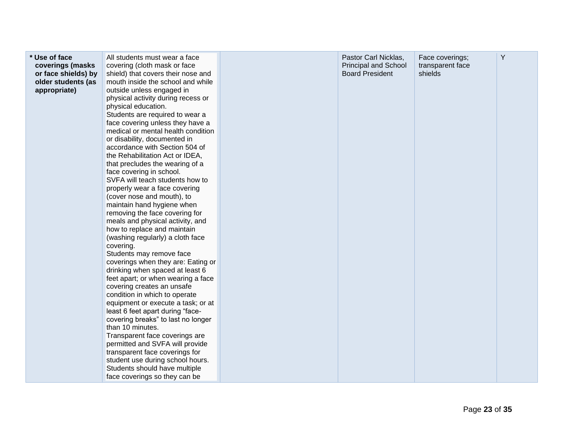| * Use of face<br>coverings (masks<br>or face shields) by<br>older students (as<br>appropriate) | All students must wear a face<br>covering (cloth mask or face<br>shield) that covers their nose and<br>mouth inside the school and while<br>outside unless engaged in<br>physical activity during recess or<br>physical education.<br>Students are required to wear a<br>face covering unless they have a<br>medical or mental health condition<br>or disability, documented in<br>accordance with Section 504 of<br>the Rehabilitation Act or IDEA,<br>that precludes the wearing of a<br>face covering in school.<br>SVFA will teach students how to<br>properly wear a face covering<br>(cover nose and mouth), to<br>maintain hand hygiene when<br>removing the face covering for<br>meals and physical activity, and<br>how to replace and maintain<br>(washing regularly) a cloth face<br>covering.<br>Students may remove face<br>coverings when they are: Eating or<br>drinking when spaced at least 6<br>feet apart; or when wearing a face<br>covering creates an unsafe<br>condition in which to operate<br>equipment or execute a task; or at<br>least 6 feet apart during "face-<br>covering breaks" to last no longer<br>than 10 minutes.<br>Transparent face coverings are<br>permitted and SVFA will provide<br>transparent face coverings for<br>student use during school hours.<br>Students should have multiple<br>face coverings so they can be |  | Pastor Carl Nicklas,<br><b>Principal and School</b><br><b>Board President</b> | Face coverings;<br>transparent face<br>shields | Υ |
|------------------------------------------------------------------------------------------------|----------------------------------------------------------------------------------------------------------------------------------------------------------------------------------------------------------------------------------------------------------------------------------------------------------------------------------------------------------------------------------------------------------------------------------------------------------------------------------------------------------------------------------------------------------------------------------------------------------------------------------------------------------------------------------------------------------------------------------------------------------------------------------------------------------------------------------------------------------------------------------------------------------------------------------------------------------------------------------------------------------------------------------------------------------------------------------------------------------------------------------------------------------------------------------------------------------------------------------------------------------------------------------------------------------------------------------------------------------------------|--|-------------------------------------------------------------------------------|------------------------------------------------|---|
|------------------------------------------------------------------------------------------------|----------------------------------------------------------------------------------------------------------------------------------------------------------------------------------------------------------------------------------------------------------------------------------------------------------------------------------------------------------------------------------------------------------------------------------------------------------------------------------------------------------------------------------------------------------------------------------------------------------------------------------------------------------------------------------------------------------------------------------------------------------------------------------------------------------------------------------------------------------------------------------------------------------------------------------------------------------------------------------------------------------------------------------------------------------------------------------------------------------------------------------------------------------------------------------------------------------------------------------------------------------------------------------------------------------------------------------------------------------------------|--|-------------------------------------------------------------------------------|------------------------------------------------|---|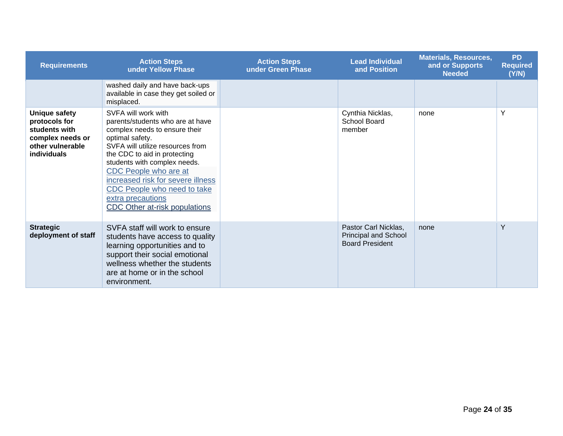| <b>Requirements</b>                                                                                           | <b>Action Steps</b><br>under Yellow Phase                                                                                                                                                                                                                                                                                                                          | <b>Action Steps</b><br>under Green Phase | <b>Lead Individual</b><br>and Position                                 | <b>Materials, Resources,</b><br>and or Supports<br><b>Needed</b> | <b>PD</b><br><b>Required</b><br>(Y/N) |
|---------------------------------------------------------------------------------------------------------------|--------------------------------------------------------------------------------------------------------------------------------------------------------------------------------------------------------------------------------------------------------------------------------------------------------------------------------------------------------------------|------------------------------------------|------------------------------------------------------------------------|------------------------------------------------------------------|---------------------------------------|
|                                                                                                               | washed daily and have back-ups<br>available in case they get soiled or<br>misplaced.                                                                                                                                                                                                                                                                               |                                          |                                                                        |                                                                  |                                       |
| <b>Unique safety</b><br>protocols for<br>students with<br>complex needs or<br>other vulnerable<br>individuals | SVFA will work with<br>parents/students who are at have<br>complex needs to ensure their<br>optimal safety.<br>SVFA will utilize resources from<br>the CDC to aid in protecting<br>students with complex needs.<br>CDC People who are at<br>increased risk for severe illness<br>CDC People who need to take<br>extra precautions<br>CDC Other at-risk populations |                                          | Cynthia Nicklas,<br>School Board<br>member                             | none                                                             | Y                                     |
| <b>Strategic</b><br>deployment of staff                                                                       | SVFA staff will work to ensure<br>students have access to quality<br>learning opportunities and to<br>support their social emotional<br>wellness whether the students<br>are at home or in the school<br>environment.                                                                                                                                              |                                          | Pastor Carl Nicklas,<br>Principal and School<br><b>Board President</b> | none                                                             | Y                                     |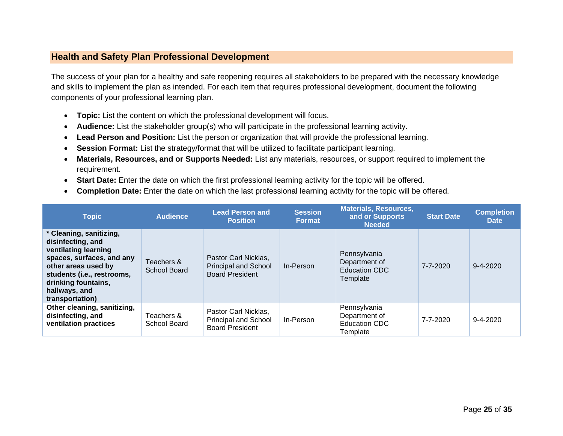#### **Health and Safety Plan Professional Development**

The success of your plan for a healthy and safe reopening requires all stakeholders to be prepared with the necessary knowledge and skills to implement the plan as intended. For each item that requires professional development, document the following components of your professional learning plan.

- **Topic:** List the content on which the professional development will focus.
- **Audience:** List the stakeholder group(s) who will participate in the professional learning activity.
- **Lead Person and Position:** List the person or organization that will provide the professional learning.
- **Session Format:** List the strategy/format that will be utilized to facilitate participant learning.
- **Materials, Resources, and or Supports Needed:** List any materials, resources, or support required to implement the requirement.
- <span id="page-24-0"></span>• **Start Date:** Enter the date on which the first professional learning activity for the topic will be offered.
- **Completion Date:** Enter the date on which the last professional learning activity for the topic will be offered.

| <b>Topic</b>                                                                                                                                                                                                      | <b>Audience</b>            | <b>Lead Person and</b><br><b>Position</b>                                     | <b>Session</b><br><b>Format</b> | <b>Materials, Resources,</b><br>and or Supports<br><b>Needed</b> | <b>Start Date</b> | <b>Completion</b><br><b>Date</b> |
|-------------------------------------------------------------------------------------------------------------------------------------------------------------------------------------------------------------------|----------------------------|-------------------------------------------------------------------------------|---------------------------------|------------------------------------------------------------------|-------------------|----------------------------------|
| * Cleaning, sanitizing,<br>disinfecting, and<br>ventilating learning<br>spaces, surfaces, and any<br>other areas used by<br>students (i.e., restrooms,<br>drinking fountains,<br>hallways, and<br>transportation) | Teachers &<br>School Board | Pastor Carl Nicklas.<br><b>Principal and School</b><br><b>Board President</b> | In-Person                       | Pennsylvania<br>Department of<br>Education CDC<br>Template       | 7-7-2020          | $9 - 4 - 2020$                   |
| Other cleaning, sanitizing,<br>disinfecting, and<br>ventilation practices                                                                                                                                         | Teachers &<br>School Board | Pastor Carl Nicklas.<br><b>Principal and School</b><br><b>Board President</b> | In-Person                       | Pennsylvania<br>Department of<br>Education CDC<br>Template       | 7-7-2020          | $9 - 4 - 2020$                   |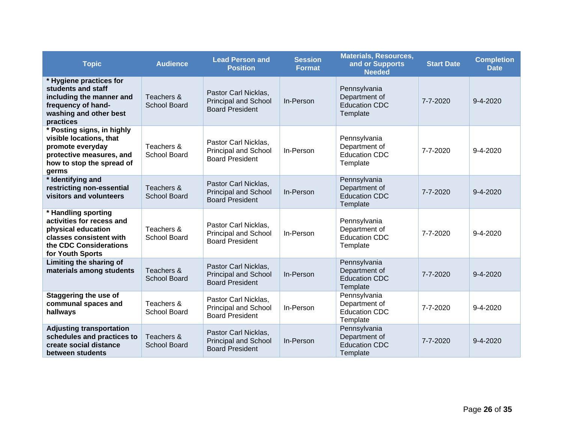| <b>Topic</b>                                                                                                                                    | <b>Audience</b>                   | <b>Lead Person and</b><br><b>Position</b>                                     | <b>Session</b><br><b>Format</b> | <b>Materials, Resources,</b><br>and or Supports<br><b>Needed</b>  | <b>Start Date</b> | <b>Completion</b><br><b>Date</b> |
|-------------------------------------------------------------------------------------------------------------------------------------------------|-----------------------------------|-------------------------------------------------------------------------------|---------------------------------|-------------------------------------------------------------------|-------------------|----------------------------------|
| * Hygiene practices for<br>students and staff<br>including the manner and<br>frequency of hand-<br>washing and other best<br>practices          | Teachers &<br><b>School Board</b> | Pastor Carl Nicklas,<br><b>Principal and School</b><br><b>Board President</b> | In-Person                       | Pennsylvania<br>Department of<br><b>Education CDC</b><br>Template | 7-7-2020          | $9 - 4 - 2020$                   |
| * Posting signs, in highly<br>visible locations, that<br>promote everyday<br>protective measures, and<br>how to stop the spread of<br>germs     | Teachers &<br>School Board        | Pastor Carl Nicklas,<br><b>Principal and School</b><br><b>Board President</b> | In-Person                       | Pennsylvania<br>Department of<br><b>Education CDC</b><br>Template | 7-7-2020          | 9-4-2020                         |
| * Identifying and<br>restricting non-essential<br>visitors and volunteers                                                                       | Teachers &<br><b>School Board</b> | Pastor Carl Nicklas,<br><b>Principal and School</b><br><b>Board President</b> | In-Person                       | Pennsylvania<br>Department of<br><b>Education CDC</b><br>Template | 7-7-2020          | $9 - 4 - 2020$                   |
| * Handling sporting<br>activities for recess and<br>physical education<br>classes consistent with<br>the CDC Considerations<br>for Youth Sports | Teachers &<br>School Board        | Pastor Carl Nicklas,<br><b>Principal and School</b><br><b>Board President</b> | In-Person                       | Pennsylvania<br>Department of<br><b>Education CDC</b><br>Template | $7 - 7 - 2020$    | $9 - 4 - 2020$                   |
| Limiting the sharing of<br>materials among students                                                                                             | Teachers &<br><b>School Board</b> | Pastor Carl Nicklas,<br><b>Principal and School</b><br><b>Board President</b> | In-Person                       | Pennsylvania<br>Department of<br><b>Education CDC</b><br>Template | 7-7-2020          | $9 - 4 - 2020$                   |
| <b>Staggering the use of</b><br>communal spaces and<br>hallways                                                                                 | Teachers &<br>School Board        | Pastor Carl Nicklas,<br><b>Principal and School</b><br><b>Board President</b> | In-Person                       | Pennsylvania<br>Department of<br><b>Education CDC</b><br>Template | 7-7-2020          | $9 - 4 - 2020$                   |
| <b>Adjusting transportation</b><br>schedules and practices to<br>create social distance<br>between students                                     | Teachers &<br><b>School Board</b> | Pastor Carl Nicklas,<br><b>Principal and School</b><br><b>Board President</b> | In-Person                       | Pennsylvania<br>Department of<br><b>Education CDC</b><br>Template | 7-7-2020          | $9 - 4 - 2020$                   |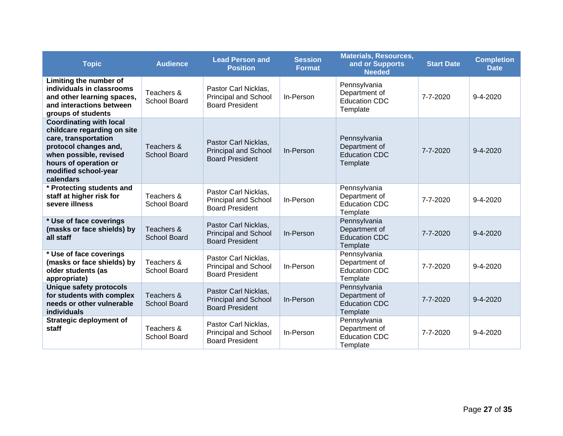| <b>Topic</b>                                                                                                                                                                                           | <b>Audience</b>                   | <b>Lead Person and</b><br><b>Position</b>                                     | <b>Session</b><br><b>Format</b> | <b>Materials, Resources,</b><br>and or Supports<br><b>Needed</b>  | <b>Start Date</b> | <b>Completion</b><br><b>Date</b> |
|--------------------------------------------------------------------------------------------------------------------------------------------------------------------------------------------------------|-----------------------------------|-------------------------------------------------------------------------------|---------------------------------|-------------------------------------------------------------------|-------------------|----------------------------------|
| Limiting the number of<br>individuals in classrooms<br>and other learning spaces,<br>and interactions between<br>groups of students                                                                    | Teachers &<br>School Board        | Pastor Carl Nicklas,<br><b>Principal and School</b><br><b>Board President</b> | In-Person                       | Pennsylvania<br>Department of<br><b>Education CDC</b><br>Template | 7-7-2020          | 9-4-2020                         |
| <b>Coordinating with local</b><br>childcare regarding on site<br>care, transportation<br>protocol changes and,<br>when possible, revised<br>hours of operation or<br>modified school-year<br>calendars | Teachers &<br><b>School Board</b> | Pastor Carl Nicklas,<br><b>Principal and School</b><br><b>Board President</b> | In-Person                       | Pennsylvania<br>Department of<br><b>Education CDC</b><br>Template | $7 - 7 - 2020$    | $9 - 4 - 2020$                   |
| * Protecting students and<br>staff at higher risk for<br>severe illness                                                                                                                                | Teachers &<br>School Board        | Pastor Carl Nicklas,<br><b>Principal and School</b><br><b>Board President</b> | In-Person                       | Pennsylvania<br>Department of<br><b>Education CDC</b><br>Template | 7-7-2020          | 9-4-2020                         |
| * Use of face coverings<br>(masks or face shields) by<br>all staff                                                                                                                                     | Teachers &<br>School Board        | Pastor Carl Nicklas,<br><b>Principal and School</b><br><b>Board President</b> | In-Person                       | Pennsylvania<br>Department of<br><b>Education CDC</b><br>Template | 7-7-2020          | $9 - 4 - 2020$                   |
| * Use of face coverings<br>(masks or face shields) by<br>older students (as<br>appropriate)                                                                                                            | Teachers &<br>School Board        | Pastor Carl Nicklas,<br><b>Principal and School</b><br><b>Board President</b> | In-Person                       | Pennsylvania<br>Department of<br><b>Education CDC</b><br>Template | 7-7-2020          | $9 - 4 - 2020$                   |
| <b>Unique safety protocols</b><br>for students with complex<br>needs or other vulnerable<br>individuals                                                                                                | Teachers &<br>School Board        | Pastor Carl Nicklas,<br><b>Principal and School</b><br><b>Board President</b> | In-Person                       | Pennsylvania<br>Department of<br><b>Education CDC</b><br>Template | $7 - 7 - 2020$    | $9 - 4 - 2020$                   |
| <b>Strategic deployment of</b><br>staff                                                                                                                                                                | Teachers &<br>School Board        | Pastor Carl Nicklas,<br><b>Principal and School</b><br><b>Board President</b> | In-Person                       | Pennsylvania<br>Department of<br><b>Education CDC</b><br>Template | 7-7-2020          | 9-4-2020                         |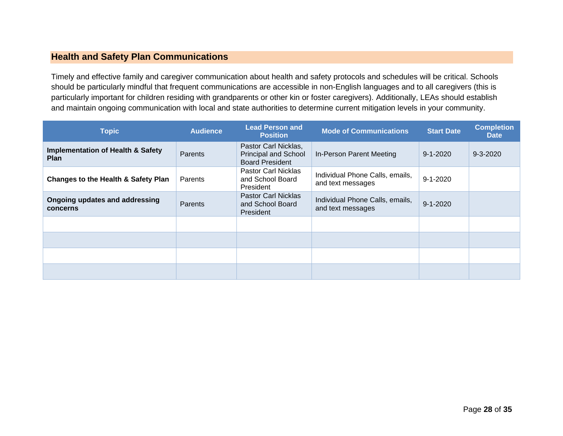### **Health and Safety Plan Communications**

Timely and effective family and caregiver communication about health and safety protocols and schedules will be critical. Schools should be particularly mindful that frequent communications are accessible in non-English languages and to all caregivers (this is particularly important for children residing with grandparents or other kin or foster caregivers). Additionally, LEAs should establish and maintain ongoing communication with local and state authorities to determine current mitigation levels in your community.

<span id="page-27-0"></span>

| <b>Topic</b>                                                | <b>Audience</b> | <b>Lead Person and</b><br><b>Position</b>                                     | <b>Mode of Communications</b>                        | <b>Start Date</b> | <b>Completion</b><br><b>Date</b> |
|-------------------------------------------------------------|-----------------|-------------------------------------------------------------------------------|------------------------------------------------------|-------------------|----------------------------------|
| <b>Implementation of Health &amp; Safety</b><br><b>Plan</b> | Parents         | Pastor Carl Nicklas,<br><b>Principal and School</b><br><b>Board President</b> | In-Person Parent Meeting                             | $9 - 1 - 2020$    | $9 - 3 - 2020$                   |
| <b>Changes to the Health &amp; Safety Plan</b>              | Parents         | Pastor Carl Nicklas<br>and School Board<br>President                          | Individual Phone Calls, emails,<br>and text messages | $9 - 1 - 2020$    |                                  |
| Ongoing updates and addressing<br>concerns                  | Parents         | <b>Pastor Carl Nicklas</b><br>and School Board<br><b>President</b>            | Individual Phone Calls, emails,<br>and text messages | $9 - 1 - 2020$    |                                  |
|                                                             |                 |                                                                               |                                                      |                   |                                  |
|                                                             |                 |                                                                               |                                                      |                   |                                  |
|                                                             |                 |                                                                               |                                                      |                   |                                  |
|                                                             |                 |                                                                               |                                                      |                   |                                  |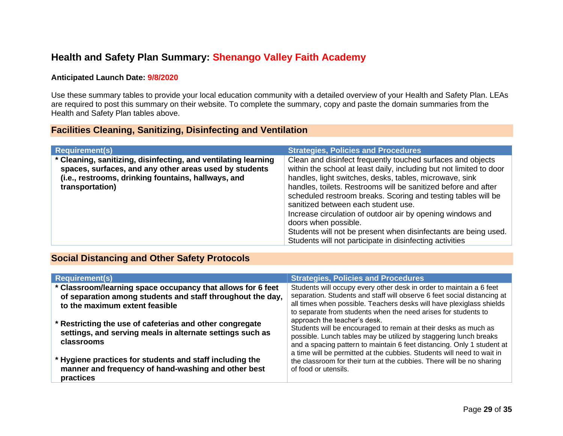# **Health and Safety Plan Summary: Shenango Valley Faith Academy**

#### **Anticipated Launch Date: 9/8/2020**

Use these summary tables to provide your local education community with a detailed overview of your Health and Safety Plan. LEAs are required to post this summary on their website. To complete the summary, copy and paste the domain summaries from the Health and Safety Plan tables above.

### **Facilities Cleaning, Sanitizing, Disinfecting and Ventilation**

<span id="page-28-0"></span>

| <b>Requirement(s)</b>                                                                                                                                                                              | <b>Strategies, Policies and Procedures</b>                                                                                                                                                                                                                                                                                                                                                                                                                                                                                                                                                   |
|----------------------------------------------------------------------------------------------------------------------------------------------------------------------------------------------------|----------------------------------------------------------------------------------------------------------------------------------------------------------------------------------------------------------------------------------------------------------------------------------------------------------------------------------------------------------------------------------------------------------------------------------------------------------------------------------------------------------------------------------------------------------------------------------------------|
| * Cleaning, sanitizing, disinfecting, and ventilating learning<br>spaces, surfaces, and any other areas used by students<br>(i.e., restrooms, drinking fountains, hallways, and<br>transportation) | Clean and disinfect frequently touched surfaces and objects<br>within the school at least daily, including but not limited to door<br>handles, light switches, desks, tables, microwave, sink<br>handles, toilets. Restrooms will be sanitized before and after<br>scheduled restroom breaks. Scoring and testing tables will be<br>sanitized between each student use.<br>Increase circulation of outdoor air by opening windows and<br>doors when possible.<br>Students will not be present when disinfectants are being used.<br>Students will not participate in disinfecting activities |

### <span id="page-28-1"></span>**Social Distancing and Other Safety Protocols**

<span id="page-28-2"></span>

| <b>Requirement(s)</b>                                                                                                                                       | <b>Strategies, Policies and Procedures</b>                                                                                                                                                                                                                                                                               |
|-------------------------------------------------------------------------------------------------------------------------------------------------------------|--------------------------------------------------------------------------------------------------------------------------------------------------------------------------------------------------------------------------------------------------------------------------------------------------------------------------|
| * Classroom/learning space occupancy that allows for 6 feet<br>of separation among students and staff throughout the day,<br>to the maximum extent feasible | Students will occupy every other desk in order to maintain a 6 feet<br>separation. Students and staff will observe 6 feet social distancing at<br>all times when possible. Teachers desks will have plexiglass shields<br>to separate from students when the need arises for students to                                 |
| * Restricting the use of cafeterias and other congregate<br>settings, and serving meals in alternate settings such as<br>classrooms                         | approach the teacher's desk.<br>Students will be encouraged to remain at their desks as much as<br>possible. Lunch tables may be utilized by staggering lunch breaks<br>and a spacing pattern to maintain 6 feet distancing. Only 1 student at<br>a time will be permitted at the cubbies. Students will need to wait in |
| * Hygiene practices for students and staff including the<br>manner and frequency of hand-washing and other best<br>practices                                | the classroom for their turn at the cubbies. There will be no sharing<br>of food or utensils.                                                                                                                                                                                                                            |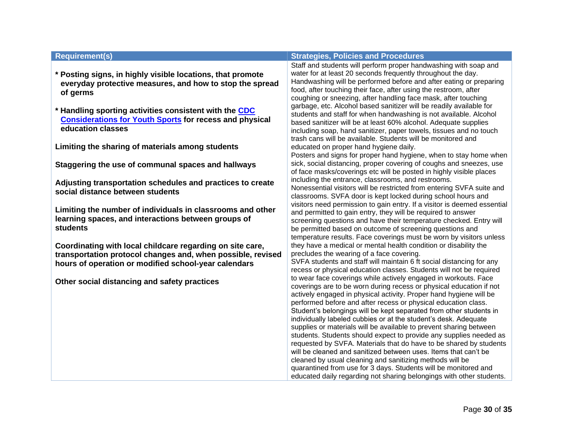- **\* Posting signs, in highly visible locations, that promote everyday protective measures, and how to stop the spread of germs**
- **\* Handling sporting activities consistent with the [CDC](https://www.cdc.gov/coronavirus/2019-ncov/community/schools-childcare/youth-sports.html)  [Considerations for Youth Sports](https://www.cdc.gov/coronavirus/2019-ncov/community/schools-childcare/youth-sports.html) for recess and physical education classes**

**Limiting the sharing of materials among students**

**Staggering the use of communal spaces and hallways**

**Adjusting transportation schedules and practices to create social distance between students**

**Limiting the number of individuals in classrooms and other learning spaces, and interactions between groups of students**

**Coordinating with local childcare regarding on site care, transportation protocol changes and, when possible, revised hours of operation or modified school-year calendars**

**Other social distancing and safety practices**

#### **Requirement(s) Strategies, Policies and Procedures**

Staff and students will perform proper handwashing with soap and water for at least 20 seconds frequently throughout the day. Handwashing will be performed before and after eating or preparing food, after touching their face, after using the restroom, after coughing or sneezing, after handling face mask, after touching garbage, etc. Alcohol based sanitizer will be readily available for students and staff for when handwashing is not available. Alcohol based sanitizer will be at least 60% alcohol. Adequate supplies including soap, hand sanitizer, paper towels, tissues and no touch trash cans will be available. Students will be monitored and educated on proper hand hygiene daily. Posters and signs for proper hand hygiene, when to stay home when sick, social distancing, proper covering of coughs and sneezes, use of face masks/coverings etc will be posted in highly visible places including the entrance, classrooms, and restrooms. Nonessential visitors will be restricted from entering SVFA suite and classrooms. SVFA door is kept locked during school hours and visitors need permission to gain entry. If a visitor is deemed essential and permitted to gain entry, they will be required to answer screening questions and have their temperature checked. Entry will be permitted based on outcome of screening questions and temperature results. Face coverings must be worn by visitors unless they have a medical or mental health condition or disability the precludes the wearing of a face covering. SVFA students and staff will maintain 6 ft social distancing for any recess or physical education classes. Students will not be required to wear face coverings while actively engaged in workouts. Face coverings are to be worn during recess or physical education if not actively engaged in physical activity. Proper hand hygiene will be performed before and after recess or physical education class. Student's belongings will be kept separated from other students in individually labeled cubbies or at the student's desk. Adequate supplies or materials will be available to prevent sharing between

students. Students should expect to provide any supplies needed as requested by SVFA. Materials that do have to be shared by students will be cleaned and sanitized between uses. Items that can't be cleaned by usual cleaning and sanitizing methods will be quarantined from use for 3 days. Students will be monitored and educated daily regarding not sharing belongings with other students.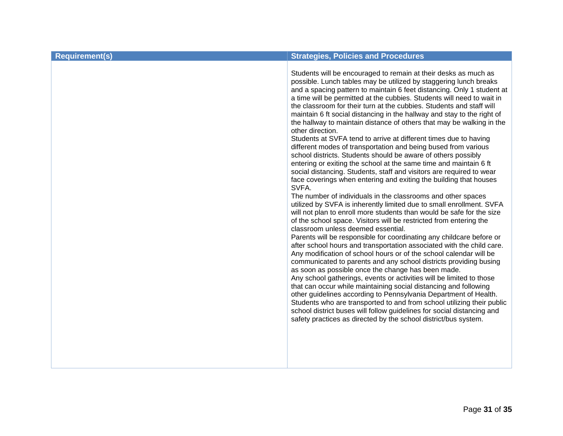| <b>Requirement(s)</b> | <b>Strategies, Policies and Procedures</b>                                                                                                                                                                                                                                                                                                                                                                                                                                                                                                                                                                                                                                                                                                                                                                                                                                                                                                                                                                                                                                                                                                                                                                                                                                                                                                                                                                                                                                                                                                                                                                                                                                                                                                                                                                                                                                                                                                                                                                                                                                                       |
|-----------------------|--------------------------------------------------------------------------------------------------------------------------------------------------------------------------------------------------------------------------------------------------------------------------------------------------------------------------------------------------------------------------------------------------------------------------------------------------------------------------------------------------------------------------------------------------------------------------------------------------------------------------------------------------------------------------------------------------------------------------------------------------------------------------------------------------------------------------------------------------------------------------------------------------------------------------------------------------------------------------------------------------------------------------------------------------------------------------------------------------------------------------------------------------------------------------------------------------------------------------------------------------------------------------------------------------------------------------------------------------------------------------------------------------------------------------------------------------------------------------------------------------------------------------------------------------------------------------------------------------------------------------------------------------------------------------------------------------------------------------------------------------------------------------------------------------------------------------------------------------------------------------------------------------------------------------------------------------------------------------------------------------------------------------------------------------------------------------------------------------|
|                       | Students will be encouraged to remain at their desks as much as<br>possible. Lunch tables may be utilized by staggering lunch breaks<br>and a spacing pattern to maintain 6 feet distancing. Only 1 student at<br>a time will be permitted at the cubbies. Students will need to wait in<br>the classroom for their turn at the cubbies. Students and staff will<br>maintain 6 ft social distancing in the hallway and stay to the right of<br>the hallway to maintain distance of others that may be walking in the<br>other direction.<br>Students at SVFA tend to arrive at different times due to having<br>different modes of transportation and being bused from various<br>school districts. Students should be aware of others possibly<br>entering or exiting the school at the same time and maintain 6 ft<br>social distancing. Students, staff and visitors are required to wear<br>face coverings when entering and exiting the building that houses<br>SVFA.<br>The number of individuals in the classrooms and other spaces<br>utilized by SVFA is inherently limited due to small enrollment. SVFA<br>will not plan to enroll more students than would be safe for the size<br>of the school space. Visitors will be restricted from entering the<br>classroom unless deemed essential.<br>Parents will be responsible for coordinating any childcare before or<br>after school hours and transportation associated with the child care.<br>Any modification of school hours or of the school calendar will be<br>communicated to parents and any school districts providing busing<br>as soon as possible once the change has been made.<br>Any school gatherings, events or activities will be limited to those<br>that can occur while maintaining social distancing and following<br>other guidelines according to Pennsylvania Department of Health.<br>Students who are transported to and from school utilizing their public<br>school district buses will follow guidelines for social distancing and<br>safety practices as directed by the school district/bus system. |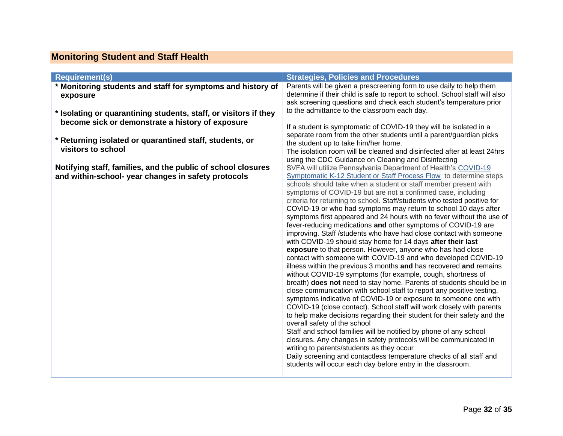# **Monitoring Student and Staff Health**

<span id="page-31-0"></span>

| <b>Requirement(s)</b>                                                                                                                                                                                                                                                                                                        | <b>Strategies, Policies and Procedures</b>                                                                                                                                                                                                                                                                                                                                                                                                                                                                                                                                                                                                                                                                                                                                                                                                                                                                                                                                                                                                                                                                                                                                                                                                                                                                                                                                                                                                                                                          |
|------------------------------------------------------------------------------------------------------------------------------------------------------------------------------------------------------------------------------------------------------------------------------------------------------------------------------|-----------------------------------------------------------------------------------------------------------------------------------------------------------------------------------------------------------------------------------------------------------------------------------------------------------------------------------------------------------------------------------------------------------------------------------------------------------------------------------------------------------------------------------------------------------------------------------------------------------------------------------------------------------------------------------------------------------------------------------------------------------------------------------------------------------------------------------------------------------------------------------------------------------------------------------------------------------------------------------------------------------------------------------------------------------------------------------------------------------------------------------------------------------------------------------------------------------------------------------------------------------------------------------------------------------------------------------------------------------------------------------------------------------------------------------------------------------------------------------------------------|
| * Monitoring students and staff for symptoms and history of<br>exposure                                                                                                                                                                                                                                                      | Parents will be given a prescreening form to use daily to help them<br>determine if their child is safe to report to school. School staff will also<br>ask screening questions and check each student's temperature prior                                                                                                                                                                                                                                                                                                                                                                                                                                                                                                                                                                                                                                                                                                                                                                                                                                                                                                                                                                                                                                                                                                                                                                                                                                                                           |
| * Isolating or quarantining students, staff, or visitors if they<br>become sick or demonstrate a history of exposure<br>* Returning isolated or quarantined staff, students, or<br>visitors to school<br>Notifying staff, families, and the public of school closures<br>and within-school- year changes in safety protocols | to the admittance to the classroom each day.<br>If a student is symptomatic of COVID-19 they will be isolated in a<br>separate room from the other students until a parent/guardian picks<br>the student up to take him/her home.<br>The isolation room will be cleaned and disinfected after at least 24hrs<br>using the CDC Guidance on Cleaning and Disinfecting<br>SVFA will utilize Pennsylvania Department of Health's COVID-19<br>Symptomatic K-12 Student or Staff Process Flow to determine steps<br>schools should take when a student or staff member present with                                                                                                                                                                                                                                                                                                                                                                                                                                                                                                                                                                                                                                                                                                                                                                                                                                                                                                                       |
|                                                                                                                                                                                                                                                                                                                              | symptoms of COVID-19 but are not a confirmed case, including<br>criteria for returning to school. Staff/students who tested positive for<br>COVID-19 or who had symptoms may return to school 10 days after<br>symptoms first appeared and 24 hours with no fever without the use of<br>fever-reducing medications and other symptoms of COVID-19 are<br>improving. Staff /students who have had close contact with someone<br>with COVID-19 should stay home for 14 days after their last<br>exposure to that person. However, anyone who has had close<br>contact with someone with COVID-19 and who developed COVID-19<br>illness within the previous 3 months and has recovered and remains<br>without COVID-19 symptoms (for example, cough, shortness of<br>breath) does not need to stay home. Parents of students should be in<br>close communication with school staff to report any positive testing,<br>symptoms indicative of COVID-19 or exposure to someone one with<br>COVID-19 (close contact). School staff will work closely with parents<br>to help make decisions regarding their student for their safety and the<br>overall safety of the school<br>Staff and school families will be notified by phone of any school<br>closures. Any changes in safety protocols will be communicated in<br>writing to parents/students as they occur<br>Daily screening and contactless temperature checks of all staff and<br>students will occur each day before entry in the classroom. |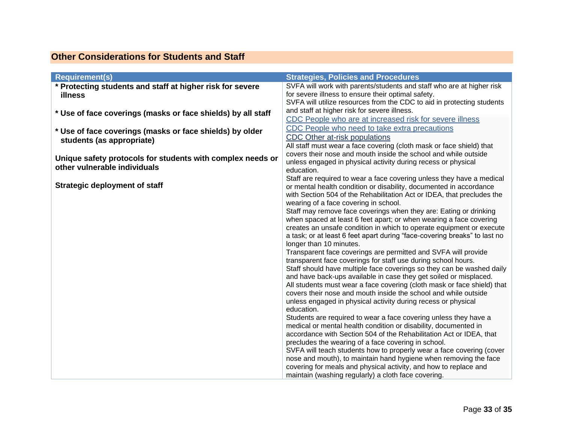## **Other Considerations for Students and Staff**

<span id="page-32-0"></span>

| <b>Requirement(s)</b>                                        | <b>Strategies, Policies and Procedures</b>                                |
|--------------------------------------------------------------|---------------------------------------------------------------------------|
| * Protecting students and staff at higher risk for severe    | SVFA will work with parents/students and staff who are at higher risk     |
| <b>illness</b>                                               | for severe illness to ensure their optimal safety.                        |
|                                                              | SVFA will utilize resources from the CDC to aid in protecting students    |
| * Use of face coverings (masks or face shields) by all staff | and staff at higher risk for severe illness.                              |
|                                                              | CDC People who are at increased risk for severe illness                   |
| * Use of face coverings (masks or face shields) by older     | CDC People who need to take extra precautions                             |
|                                                              | CDC Other at-risk populations                                             |
| students (as appropriate)                                    | All staff must wear a face covering (cloth mask or face shield) that      |
|                                                              | covers their nose and mouth inside the school and while outside           |
| Unique safety protocols for students with complex needs or   | unless engaged in physical activity during recess or physical             |
| other vulnerable individuals                                 | education.                                                                |
|                                                              | Staff are required to wear a face covering unless they have a medical     |
| <b>Strategic deployment of staff</b>                         | or mental health condition or disability, documented in accordance        |
|                                                              | with Section 504 of the Rehabilitation Act or IDEA, that precludes the    |
|                                                              | wearing of a face covering in school.                                     |
|                                                              | Staff may remove face coverings when they are: Eating or drinking         |
|                                                              | when spaced at least 6 feet apart; or when wearing a face covering        |
|                                                              | creates an unsafe condition in which to operate equipment or execute      |
|                                                              | a task; or at least 6 feet apart during "face-covering breaks" to last no |
|                                                              | longer than 10 minutes.                                                   |
|                                                              | Transparent face coverings are permitted and SVFA will provide            |
|                                                              | transparent face coverings for staff use during school hours.             |
|                                                              | Staff should have multiple face coverings so they can be washed daily     |
|                                                              | and have back-ups available in case they get soiled or misplaced.         |
|                                                              | All students must wear a face covering (cloth mask or face shield) that   |
|                                                              | covers their nose and mouth inside the school and while outside           |
|                                                              | unless engaged in physical activity during recess or physical             |
|                                                              | education.                                                                |
|                                                              | Students are required to wear a face covering unless they have a          |
|                                                              | medical or mental health condition or disability, documented in           |
|                                                              | accordance with Section 504 of the Rehabilitation Act or IDEA, that       |
|                                                              | precludes the wearing of a face covering in school.                       |
|                                                              | SVFA will teach students how to properly wear a face covering (cover      |
|                                                              | nose and mouth), to maintain hand hygiene when removing the face          |
|                                                              | covering for meals and physical activity, and how to replace and          |
|                                                              | maintain (washing regularly) a cloth face covering.                       |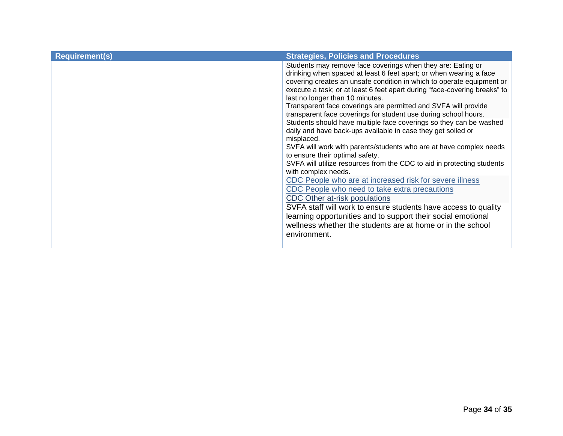| <b>Requirement(s)</b> | <b>Strategies, Policies and Procedures</b>                                                                                            |
|-----------------------|---------------------------------------------------------------------------------------------------------------------------------------|
|                       | Students may remove face coverings when they are: Eating or                                                                           |
|                       | drinking when spaced at least 6 feet apart; or when wearing a face                                                                    |
|                       | covering creates an unsafe condition in which to operate equipment or                                                                 |
|                       | execute a task; or at least 6 feet apart during "face-covering breaks" to                                                             |
|                       | last no longer than 10 minutes.                                                                                                       |
|                       | Transparent face coverings are permitted and SVFA will provide                                                                        |
|                       | transparent face coverings for student use during school hours.<br>Students should have multiple face coverings so they can be washed |
|                       | daily and have back-ups available in case they get soiled or                                                                          |
|                       | misplaced.                                                                                                                            |
|                       | SVFA will work with parents/students who are at have complex needs                                                                    |
|                       | to ensure their optimal safety.                                                                                                       |
|                       | SVFA will utilize resources from the CDC to aid in protecting students                                                                |
|                       | with complex needs.                                                                                                                   |
|                       | CDC People who are at increased risk for severe illness                                                                               |
|                       | CDC People who need to take extra precautions                                                                                         |
|                       | CDC Other at-risk populations                                                                                                         |
|                       | SVFA staff will work to ensure students have access to quality                                                                        |
|                       | learning opportunities and to support their social emotional                                                                          |
|                       | wellness whether the students are at home or in the school                                                                            |
|                       | environment.                                                                                                                          |
|                       |                                                                                                                                       |